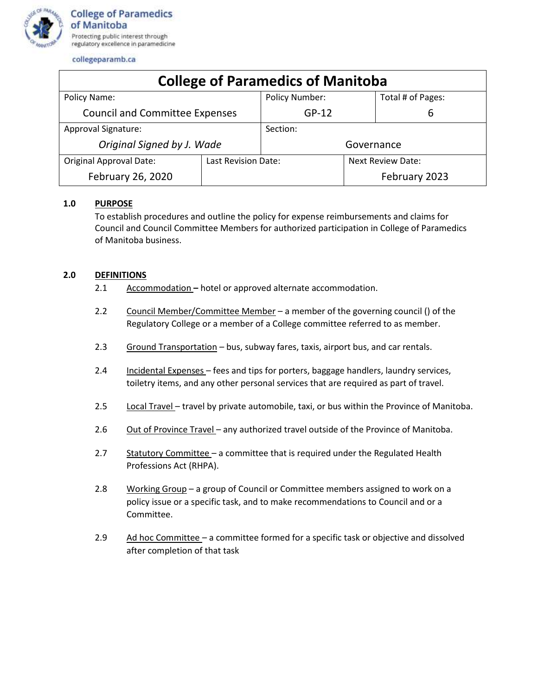

| <b>College of Paramedics of Manitoba</b> |                     |                |                          |                   |  |  |
|------------------------------------------|---------------------|----------------|--------------------------|-------------------|--|--|
| Policy Name:                             |                     | Policy Number: |                          | Total # of Pages: |  |  |
| <b>Council and Committee Expenses</b>    |                     | $GP-12$        |                          | 6                 |  |  |
| Approval Signature:                      |                     | Section:       |                          |                   |  |  |
| Original Signed by J. Wade               |                     | Governance     |                          |                   |  |  |
| <b>Original Approval Date:</b>           | Last Revision Date: |                | <b>Next Review Date:</b> |                   |  |  |
| February 26, 2020                        |                     |                |                          | February 2023     |  |  |

# **1.0 PURPOSE**

To establish procedures and outline the policy for expense reimbursements and claims for Council and Council Committee Members for authorized participation in College of Paramedics of Manitoba business.

## **2.0 DEFINITIONS**

- 2.1 Accommodation **–** hotel or approved alternate accommodation.
- 2.2 Council Member/Committee Member a member of the governing council () of the Regulatory College or a member of a College committee referred to as member.
- 2.3 Ground Transportation bus, subway fares, taxis, airport bus, and car rentals.
- 2.4 Incidental Expenses fees and tips for porters, baggage handlers, laundry services, toiletry items, and any other personal services that are required as part of travel.
- 2.5 Local Travel travel by private automobile, taxi, or bus within the Province of Manitoba.
- 2.6 Out of Province Travel any authorized travel outside of the Province of Manitoba.
- 2.7 Statutory Committee a committee that is required under the Regulated Health Professions Act (RHPA).
- 2.8 Working Group a group of Council or Committee members assigned to work on a policy issue or a specific task, and to make recommendations to Council and or a Committee.
- 2.9 Ad hoc Committee a committee formed for a specific task or objective and dissolved after completion of that task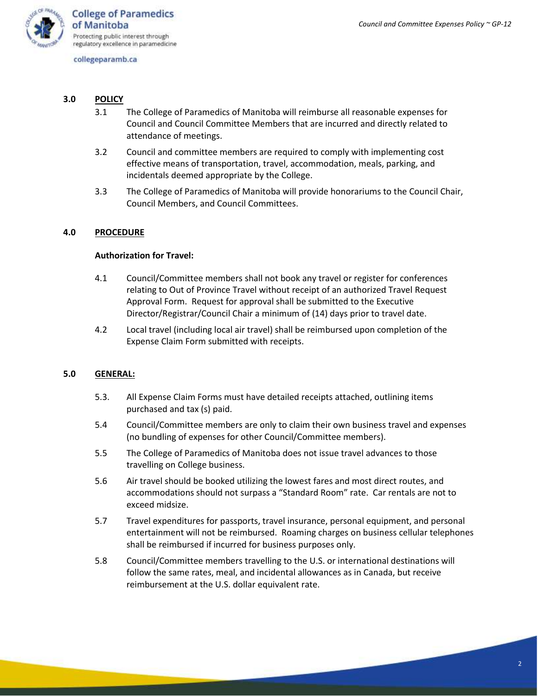

- **3.0 POLICY**
	- 3.1 The College of Paramedics of Manitoba will reimburse all reasonable expenses for Council and Council Committee Members that are incurred and directly related to attendance of meetings.
	- 3.2 Council and committee members are required to comply with implementing cost effective means of transportation, travel, accommodation, meals, parking, and incidentals deemed appropriate by the College.
	- 3.3 The College of Paramedics of Manitoba will provide honorariums to the Council Chair, Council Members, and Council Committees.

## **4.0 PROCEDURE**

## **Authorization for Travel:**

- 4.1 Council/Committee members shall not book any travel or register for conferences relating to Out of Province Travel without receipt of an authorized Travel Request Approval Form. Request for approval shall be submitted to the Executive Director/Registrar/Council Chair a minimum of (14) days prior to travel date.
- 4.2 Local travel (including local air travel) shall be reimbursed upon completion of the Expense Claim Form submitted with receipts.

## **5.0 GENERAL:**

- 5.3. All Expense Claim Forms must have detailed receipts attached, outlining items purchased and tax (s) paid.
- 5.4 Council/Committee members are only to claim their own business travel and expenses (no bundling of expenses for other Council/Committee members).
- 5.5 The College of Paramedics of Manitoba does not issue travel advances to those travelling on College business.
- 5.6 Air travel should be booked utilizing the lowest fares and most direct routes, and accommodations should not surpass a "Standard Room" rate. Car rentals are not to exceed midsize.
- 5.7 Travel expenditures for passports, travel insurance, personal equipment, and personal entertainment will not be reimbursed. Roaming charges on business cellular telephones shall be reimbursed if incurred for business purposes only.
- 5.8 Council/Committee members travelling to the U.S. or international destinations will follow the same rates, meal, and incidental allowances as in Canada, but receive reimbursement at the U.S. dollar equivalent rate.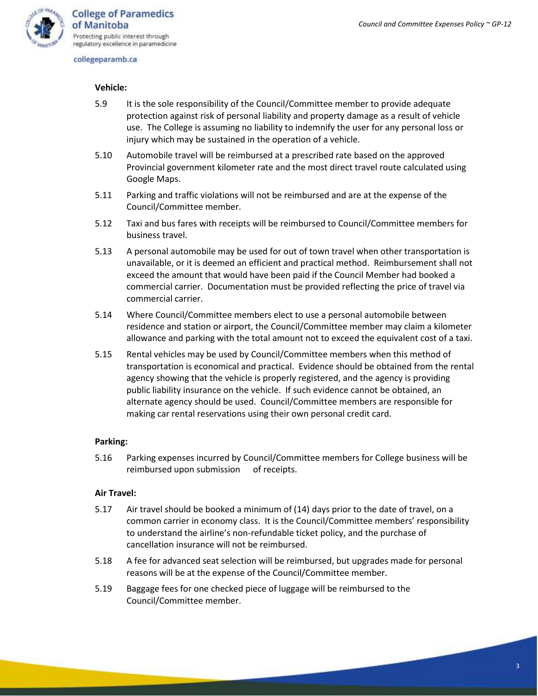

## **Vehicle:**

- 5.9 It is the sole responsibility of the Council/Committee member to provide adequate protection against risk of personal liability and property damage as a result of vehicle use. The College is assuming no liability to indemnify the user for any personal loss or injury which may be sustained in the operation of a vehicle.
- 5.10 Automobile travel will be reimbursed at a prescribed rate based on the approved Provincial government kilometer rate and the most direct travel route calculated using Google Maps.
- 5.11 Parking and traffic violations will not be reimbursed and are at the expense of the Council/Committee member.
- 5.12 Taxi and bus fares with receipts will be reimbursed to Council/Committee members for business travel.
- 5.13 A personal automobile may be used for out of town travel when other transportation is unavailable, or it is deemed an efficient and practical method. Reimbursement shall not exceed the amount that would have been paid if the Council Member had booked a commercial carrier. Documentation must be provided reflecting the price of travel via commercial carrier.
- 5.14 Where Council/Committee members elect to use a personal automobile between residence and station or airport, the Council/Committee member may claim a kilometer allowance and parking with the total amount not to exceed the equivalent cost of a taxi.
- 5.15 Rental vehicles may be used by Council/Committee members when this method of transportation is economical and practical. Evidence should be obtained from the rental agency showing that the vehicle is properly registered, and the agency is providing public liability insurance on the vehicle. If such evidence cannot be obtained, an alternate agency should be used. Council/Committee members are responsible for making car rental reservations using their own personal credit card.

## **Parking:**

5.16 Parking expenses incurred by Council/Committee members for College business will be reimbursed upon submission of receipts.

## **Air Travel:**

- 5.17 Air travel should be booked a minimum of (14) days prior to the date of travel, on a common carrier in economy class. It is the Council/Committee members' responsibility to understand the airline's non-refundable ticket policy, and the purchase of cancellation insurance will not be reimbursed.
- 5.18 A fee for advanced seat selection will be reimbursed, but upgrades made for personal reasons will be at the expense of the Council/Committee member.
- 5.19 Baggage fees for one checked piece of luggage will be reimbursed to the Council/Committee member.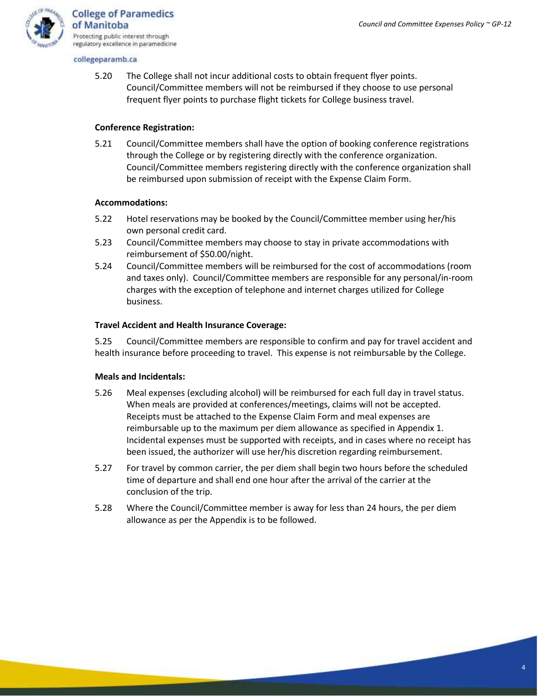

5.20 The College shall not incur additional costs to obtain frequent flyer points. Council/Committee members will not be reimbursed if they choose to use personal frequent flyer points to purchase flight tickets for College business travel.

## **Conference Registration:**

5.21 Council/Committee members shall have the option of booking conference registrations through the College or by registering directly with the conference organization. Council/Committee members registering directly with the conference organization shall be reimbursed upon submission of receipt with the Expense Claim Form.

## **Accommodations:**

- 5.22 Hotel reservations may be booked by the Council/Committee member using her/his own personal credit card.
- 5.23 Council/Committee members may choose to stay in private accommodations with reimbursement of \$50.00/night.
- 5.24 Council/Committee members will be reimbursed for the cost of accommodations (room and taxes only). Council/Committee members are responsible for any personal/in-room charges with the exception of telephone and internet charges utilized for College business.

## **Travel Accident and Health Insurance Coverage:**

5.25 Council/Committee members are responsible to confirm and pay for travel accident and health insurance before proceeding to travel. This expense is not reimbursable by the College.

## **Meals and Incidentals:**

- 5.26 Meal expenses (excluding alcohol) will be reimbursed for each full day in travel status. When meals are provided at conferences/meetings, claims will not be accepted. Receipts must be attached to the Expense Claim Form and meal expenses are reimbursable up to the maximum per diem allowance as specified in Appendix 1. Incidental expenses must be supported with receipts, and in cases where no receipt has been issued, the authorizer will use her/his discretion regarding reimbursement.
- 5.27 For travel by common carrier, the per diem shall begin two hours before the scheduled time of departure and shall end one hour after the arrival of the carrier at the conclusion of the trip.
- 5.28 Where the Council/Committee member is away for less than 24 hours, the per diem allowance as per the Appendix is to be followed.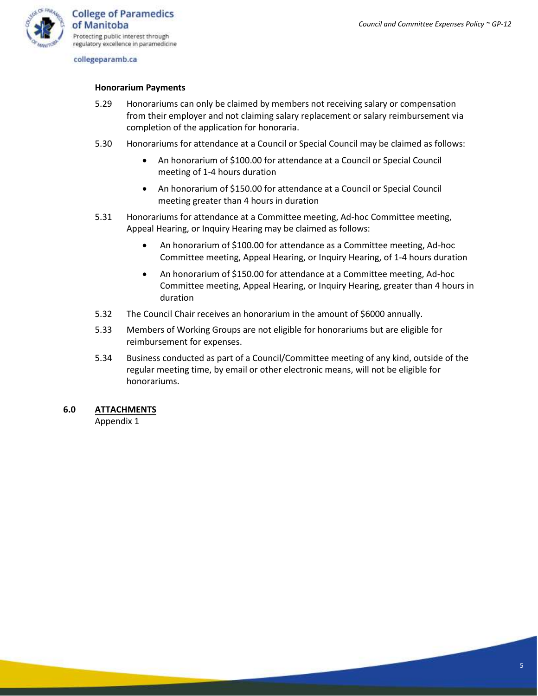

#### **Honorarium Payments**

- 5.29 Honorariums can only be claimed by members not receiving salary or compensation from their employer and not claiming salary replacement or salary reimbursement via completion of the application for honoraria.
- 5.30 Honorariums for attendance at a Council or Special Council may be claimed as follows:
	- An honorarium of \$100.00 for attendance at a Council or Special Council meeting of 1-4 hours duration
	- An honorarium of \$150.00 for attendance at a Council or Special Council meeting greater than 4 hours in duration
- 5.31 Honorariums for attendance at a Committee meeting, Ad-hoc Committee meeting, Appeal Hearing, or Inquiry Hearing may be claimed as follows:
	- An honorarium of \$100.00 for attendance as a Committee meeting, Ad-hoc Committee meeting, Appeal Hearing, or Inquiry Hearing, of 1-4 hours duration
	- An honorarium of \$150.00 for attendance at a Committee meeting, Ad-hoc Committee meeting, Appeal Hearing, or Inquiry Hearing, greater than 4 hours in duration
- 5.32 The Council Chair receives an honorarium in the amount of \$6000 annually.
- 5.33 Members of Working Groups are not eligible for honorariums but are eligible for reimbursement for expenses.
- 5.34 Business conducted as part of a Council/Committee meeting of any kind, outside of the regular meeting time, by email or other electronic means, will not be eligible for honorariums.

## **6.0 ATTACHMENTS**

Appendix 1